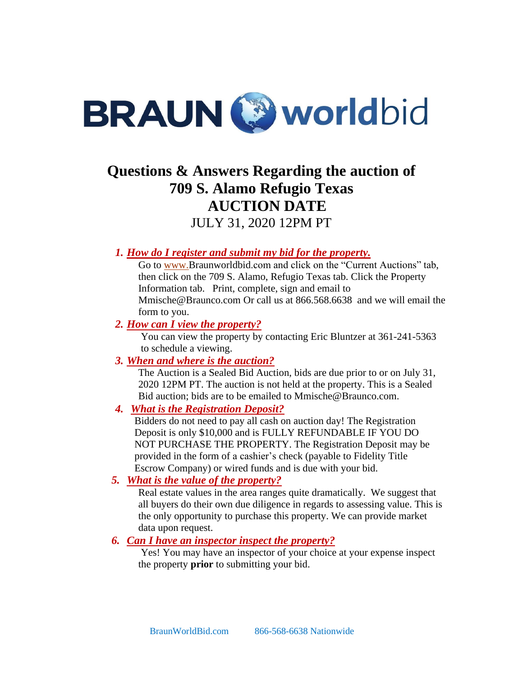

# **Questions & Answers Regarding the auction of 709 S. Alamo Refugio Texas AUCTION DATE**

JULY 31, 2020 12PM PT

## *1. How do I register and submit my bid for the property.*

Go to [www.B](http://www.premiereestates.com/)raunworldbid.com and click on the "Current Auctions" tab, then click on the 709 S. Alamo, Refugio Texas tab. Click the Property Information tab. Print, complete, sign and email to Mmische@Braunco.com Or call us at 866.568.6638 and we will email the form to you.

#### *2. How can I view the property?*

You can view the property by contacting Eric Bluntzer at 361-241-5363 to schedule a viewing.

## *3. When and where is the auction?*

The Auction is a Sealed Bid Auction, bids are due prior to or on July 31, 2020 12PM PT. The auction is not held at the property. This is a Sealed Bid auction; bids are to be emailed to Mmische@Braunco.com.

#### *4. What is the Registration Deposit?*

Bidders do not need to pay all cash on auction day! The Registration Deposit is only \$10,000 and is FULLY REFUNDABLE IF YOU DO NOT PURCHASE THE PROPERTY. The Registration Deposit may be provided in the form of a cashier's check (payable to Fidelity Title Escrow Company) or wired funds and is due with your bid.

## *5. What is the value of the property?*

Real estate values in the area ranges quite dramatically. We suggest that all buyers do their own due diligence in regards to assessing value. This is the only opportunity to purchase this property. We can provide market data upon request.

#### *6. Can I have an inspector inspect the property?*

Yes! You may have an inspector of your choice at your expense inspect the property **prior** to submitting your bid.